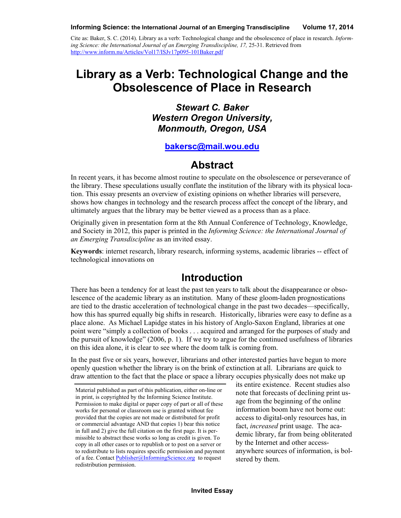Cite as: Baker, S. C. (2014). Library as a verb: Technological change and the obsolescence of place in research. *Informing Science: the International Journal of an Emerging Transdiscipline, 17,* 25-31. Retrieved from <http://www.inform.nu/Articles/Vol17/ISJv17p095-101Baker.pdf>

# **Library as a Verb: Technological Change and the Obsolescence of Place in Research**

*Stewart C. Baker Western Oregon University, Monmouth, Oregon, USA*

#### **[bakersc@mail.wou.edu](mailto:bakersc@mail.wou.edu)**

### **Abstract**

In recent years, it has become almost routine to speculate on the obsolescence or perseverance of the library. These speculations usually conflate the institution of the library with its physical location. This essay presents an overview of existing opinions on whether libraries will persevere, shows how changes in technology and the research process affect the concept of the library, and ultimately argues that the library may be better viewed as a process than as a place.

Originally given in presentation form at the 8th Annual Conference of Technology, Knowledge, and Society in 2012, this paper is printed in the *Informing Science: the International Journal of an Emerging Transdiscipline* as an invited essay.

**Keywords**: internet research, library research, informing systems, academic libraries -- effect of technological innovations on

### **Introduction**

There has been a tendency for at least the past ten years to talk about the disappearance or obsolescence of the academic library as an institution. Many of these gloom-laden prognostications are tied to the drastic acceleration of technological change in the past two decades—specifically, how this has spurred equally big shifts in research. Historically, libraries were easy to define as a place alone. As Michael Lapidge states in his history of Anglo-Saxon England, libraries at one point were "simply a collection of books . . . acquired and arranged for the purposes of study and the pursuit of knowledge" (2006, p. 1). If we try to argue for the continued usefulness of libraries on this idea alone, it is clear to see where the doom talk is coming from.

In the past five or six years, however, librarians and other interested parties have begun to more openly question whether the library is on the brink of extinction at all. Librarians are quick to draw attention to the fact that the place or space a library occupies physically does not make up

its entire existence. Recent studies also note that forecasts of declining print usage from the beginning of the online information boom have not borne out: access to digital-only resources has, in fact, *increased* print usage. The academic library, far from being obliterated by the Internet and other accessanywhere sources of information, is bolstered by them.

Material published as part of this publication, either on-line or in print, is copyrighted by the Informing Science Institute. Permission to make digital or paper copy of part or all of these works for personal or classroom use is granted without fee provided that the copies are not made or distributed for profit or commercial advantage AND that copies 1) bear this notice in full and 2) give the full citation on the first page. It is permissible to abstract these works so long as credit is given. To copy in all other cases or to republish or to post on a server or to redistribute to lists requires specific permission and payment of a fee. Contact [Publisher@InformingScience.org](mailto:Publisher@InformingScience.org) to request redistribution permission.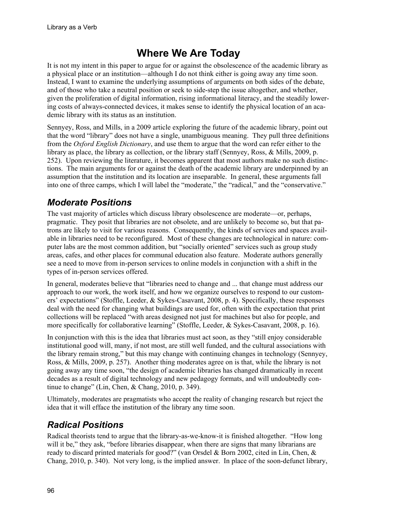# **Where We Are Today**

It is not my intent in this paper to argue for or against the obsolescence of the academic library as a physical place or an institution—although I do not think either is going away any time soon. Instead, I want to examine the underlying assumptions of arguments on both sides of the debate, and of those who take a neutral position or seek to side-step the issue altogether, and whether, given the proliferation of digital information, rising informational literacy, and the steadily lowering costs of always-connected devices, it makes sense to identify the physical location of an academic library with its status as an institution.

Sennyey, Ross, and Mills, in a 2009 article exploring the future of the academic library, point out that the word "library" does not have a single, unambiguous meaning. They pull three definitions from the *Oxford English Dictionary*, and use them to argue that the word can refer either to the library as place, the library as collection, or the library staff (Sennyey, Ross, & Mills, 2009, p. 252). Upon reviewing the literature, it becomes apparent that most authors make no such distinctions. The main arguments for or against the death of the academic library are underpinned by an assumption that the institution and its location are inseparable. In general, these arguments fall into one of three camps, which I will label the "moderate," the "radical," and the "conservative."

## *Moderate Positions*

The vast majority of articles which discuss library obsolescence are moderate—or, perhaps, pragmatic. They posit that libraries are not obsolete, and are unlikely to become so, but that patrons are likely to visit for various reasons. Consequently, the kinds of services and spaces available in libraries need to be reconfigured. Most of these changes are technological in nature: computer labs are the most common addition, but "socially oriented" services such as group study areas, cafes, and other places for communal education also feature. Moderate authors generally see a need to move from in-person services to online models in conjunction with a shift in the types of in-person services offered.

In general, moderates believe that "libraries need to change and ... that change must address our approach to our work, the work itself, and how we organize ourselves to respond to our customers' expectations" (Stoffle, Leeder, & Sykes-Casavant, 2008, p. 4). Specifically, these responses deal with the need for changing what buildings are used for, often with the expectation that print collections will be replaced "with areas designed not just for machines but also for people, and more specifically for collaborative learning" (Stoffle, Leeder, & Sykes-Casavant, 2008, p. 16).

In conjunction with this is the idea that libraries must act soon, as they "still enjoy considerable institutional good will, many, if not most, are still well funded, and the cultural associations with the library remain strong," but this may change with continuing changes in technology (Sennyey, Ross, & Mills, 2009, p. 257). Another thing moderates agree on is that, while the library is not going away any time soon, "the design of academic libraries has changed dramatically in recent decades as a result of digital technology and new pedagogy formats, and will undoubtedly continue to change" (Lin, Chen, & Chang, 2010, p. 349).

Ultimately, moderates are pragmatists who accept the reality of changing research but reject the idea that it will efface the institution of the library any time soon.

## *Radical Positions*

Radical theorists tend to argue that the library-as-we-know-it is finished altogether. "How long will it be," they ask, "before libraries disappear, when there are signs that many librarians are ready to discard printed materials for good?" (van Orsdel & Born 2002, cited in Lin, Chen, & Chang, 2010, p. 340). Not very long, is the implied answer. In place of the soon-defunct library,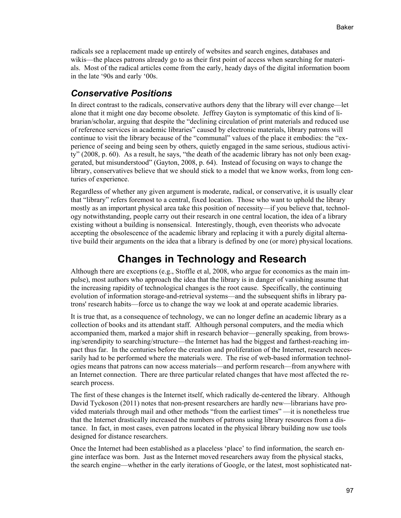radicals see a replacement made up entirely of websites and search engines, databases and wikis—the places patrons already go to as their first point of access when searching for materials. Most of the radical articles come from the early, heady days of the digital information boom in the late '90s and early '00s.

#### *Conservative Positions*

In direct contrast to the radicals, conservative authors deny that the library will ever change—let alone that it might one day become obsolete. Jeffrey Gayton is symptomatic of this kind of librarian/scholar, arguing that despite the "declining circulation of print materials and reduced use of reference services in academic libraries" caused by electronic materials, library patrons will continue to visit the library because of the "communal" values of the place it embodies: the "experience of seeing and being seen by others, quietly engaged in the same serious, studious activity" (2008, p. 60). As a result, he says, "the death of the academic library has not only been exaggerated, but misunderstood" (Gayton, 2008, p. 64). Instead of focusing on ways to change the library, conservatives believe that we should stick to a model that we know works, from long centuries of experience.

Regardless of whether any given argument is moderate, radical, or conservative, it is usually clear that "library" refers foremost to a central, fixed location. Those who want to uphold the library mostly as an important physical area take this position of necessity—if you believe that, technology notwithstanding, people carry out their research in one central location, the idea of a library existing without a building is nonsensical. Interestingly, though, even theorists who advocate accepting the obsolescence of the academic library and replacing it with a purely digital alternative build their arguments on the idea that a library is defined by one (or more) physical locations.

# **Changes in Technology and Research**

Although there are exceptions (e.g., Stoffle et al, 2008, who argue for economics as the main impulse), most authors who approach the idea that the library is in danger of vanishing assume that the increasing rapidity of technological changes is the root cause. Specifically, the continuing evolution of information storage-and-retrieval systems—and the subsequent shifts in library patrons' research habits—force us to change the way we look at and operate academic libraries.

It is true that, as a consequence of technology, we can no longer define an academic library as a collection of books and its attendant staff. Although personal computers, and the media which accompanied them, marked a major shift in research behavior—generally speaking, from browsing/serendipity to searching/structure—the Internet has had the biggest and farthest-reaching impact thus far. In the centuries before the creation and proliferation of the Internet, research necessarily had to be performed where the materials were. The rise of web-based information technologies means that patrons can now access materials—and perform research—from anywhere with an Internet connection. There are three particular related changes that have most affected the research process.

The first of these changes is the Internet itself, which radically de-centered the library. Although David Tyckoson (2011) notes that non-present researchers are hardly new—librarians have provided materials through mail and other methods "from the earliest times" —it is nonetheless true that the Internet drastically increased the numbers of patrons using library resources from a distance. In fact, in most cases, even patrons located in the physical library building now use tools designed for distance researchers.

Once the Internet had been established as a placeless 'place' to find information, the search engine interface was born. Just as the Internet moved researchers away from the physical stacks, the search engine—whether in the early iterations of Google, or the latest, most sophisticated nat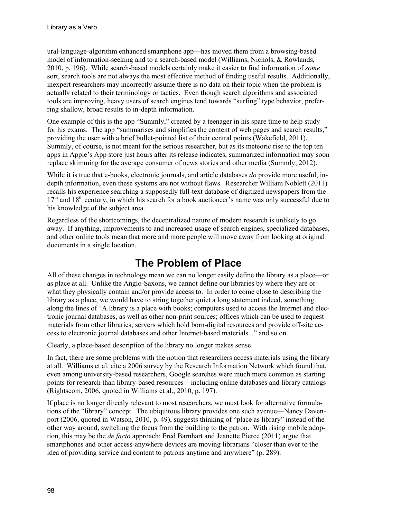ural-language-algorithm enhanced smartphone app—has moved them from a browsing-based model of information-seeking and to a search-based model (Williams, Nichols, & Rowlands, 2010, p. 196). While search-based models certainly make it easier to find information of *some* sort, search tools are not always the most effective method of finding useful results. Additionally, inexpert researchers may incorrectly assume there is no data on their topic when the problem is actually related to their terminology or tactics. Even though search algorithms and associated tools are improving, heavy users of search engines tend towards "surfing" type behavior, preferring shallow, broad results to in-depth information.

One example of this is the app "Summly," created by a teenager in his spare time to help study for his exams. The app "summarises and simplifies the content of web pages and search results," providing the user with a brief bullet-pointed list of their central points (Wakefield, 2011). Summly, of course, is not meant for the serious researcher, but as its meteoric rise to the top ten apps in Apple's App store just hours after its release indicates, summarized information may soon replace skimming for the average consumer of news stories and other media (Summly, 2012).

While it is true that e-books, electronic journals, and article databases *do* provide more useful, indepth information, even these systems are not without flaws. Researcher William Noblett (2011) recalls his experience searching a supposedly full-text database of digitized newspapers from the  $17<sup>th</sup>$  and  $18<sup>th</sup>$  century, in which his search for a book auctioneer's name was only successful due to his knowledge of the subject area.

Regardless of the shortcomings, the decentralized nature of modern research is unlikely to go away. If anything, improvements to and increased usage of search engines, specialized databases, and other online tools mean that more and more people will move away from looking at original documents in a single location.

# **The Problem of Place**

All of these changes in technology mean we can no longer easily define the library as a place—or as place at all. Unlike the Anglo-Saxons, we cannot define our libraries by where they are or what they physically contain and/or provide access to. In order to come close to describing the library as a place, we would have to string together quiet a long statement indeed, something along the lines of "A library is a place with books; computers used to access the Internet and electronic journal databases, as well as other non-print sources; offices which can be used to request materials from other libraries; servers which hold born-digital resources and provide off-site access to electronic journal databases and other Internet-based materials..." and so on.

Clearly, a place-based description of the library no longer makes sense.

In fact, there are some problems with the notion that researchers access materials using the library at all. Williams et al. cite a 2006 survey by the Research Information Network which found that, even among university-based researchers, Google searches were much more common as starting points for research than library-based resources—including online databases and library catalogs (Rightscom, 2006, quoted in Williams et al., 2010, p. 197).

If place is no longer directly relevant to most researchers, we must look for alternative formulations of the "library" concept. The ubiquitous library provides one such avenue—Nancy Davenport (2006, quoted in Watson, 2010, p. 49), suggests thinking of "place as library" instead of the other way around, switching the focus from the building to the patron. With rising mobile adoption, this may be the *de facto* approach: Fred Barnhart and Jeanette Pierce (2011) argue that smartphones and other access-anywhere devices are moving librarians "closer than ever to the idea of providing service and content to patrons anytime and anywhere" (p. 289).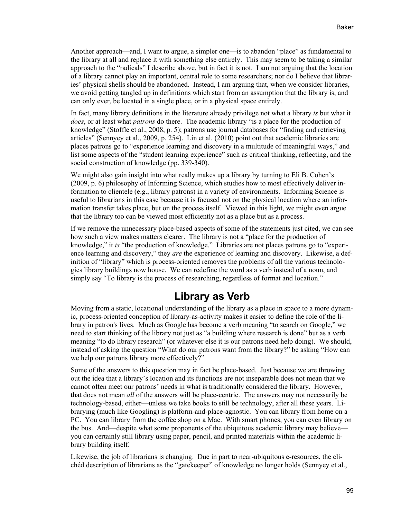Another approach—and, I want to argue, a simpler one—is to abandon "place" as fundamental to the library at all and replace it with something else entirely. This may seem to be taking a similar approach to the "radicals" I describe above, but in fact it is not. I am not arguing that the location of a library cannot play an important, central role to some researchers; nor do I believe that libraries' physical shells should be abandoned. Instead, I am arguing that, when we consider libraries, we avoid getting tangled up in definitions which start from an assumption that the library is, and can only ever, be located in a single place, or in a physical space entirely.

In fact, many library definitions in the literature already privilege not what a library *is* but what it *does*, or at least what *patrons* do there. The academic library "is a place for the production of knowledge" (Stoffle et al., 2008, p. 5); patrons use journal databases for "finding and retrieving articles" (Sennyey et al., 2009, p. 254). Lin et al. (2010) point out that academic libraries are places patrons go to "experience learning and discovery in a multitude of meaningful ways," and list some aspects of the "student learning experience" such as critical thinking, reflecting, and the social construction of knowledge (pp. 339-340).

We might also gain insight into what really makes up a library by turning to Eli B. Cohen's (2009, p. 6) philosophy of Informing Science, which studies how to most effectively deliver information to clientele (e.g., library patrons) in a variety of environments. Informing Science is useful to librarians in this case because it is focused not on the physical location where an information transfer takes place, but on the process itself. Viewed in this light, we might even argue that the library too can be viewed most efficiently not as a place but as a process.

If we remove the unnecessary place-based aspects of some of the statements just cited, we can see how such a view makes matters clearer. The library is not a "place for the production of knowledge," it *is* "the production of knowledge." Libraries are not places patrons go to "experience learning and discovery," they *are* the experience of learning and discovery. Likewise, a definition of "library" which is process-oriented removes the problems of all the various technologies library buildings now house. We can redefine the word as a verb instead of a noun, and simply say "To library is the process of researching, regardless of format and location."

### **Library as Verb**

Moving from a static, locational understanding of the library as a place in space to a more dynamic, process-oriented conception of library-as-activity makes it easier to define the role of the library in patron's lives. Much as Google has become a verb meaning "to search on Google," we need to start thinking of the library not just as "a building where research is done" but as a verb meaning "to do library research" (or whatever else it is our patrons need help doing). We should, instead of asking the question "What do our patrons want from the library?" be asking "How can we help our patrons library more effectively?"

Some of the answers to this question may in fact be place-based. Just because we are throwing out the idea that a library's location and its functions are not inseparable does not mean that we cannot often meet our patrons' needs in what is traditionally considered the library. However, that does not mean *all* of the answers will be place-centric. The answers may not necessarily be technology-based, either—unless we take books to still be technology, after all these years. Librarying (much like Googling) is platform-and-place-agnostic. You can library from home on a PC. You can library from the coffee shop on a Mac. With smart phones, you can even library on the bus. And—despite what some proponents of the ubiquitous academic library may believe you can certainly still library using paper, pencil, and printed materials within the academic library building itself.

Likewise, the job of librarians is changing. Due in part to near-ubiquitous e-resources, the clichéd description of librarians as the "gatekeeper" of knowledge no longer holds (Sennyey et al.,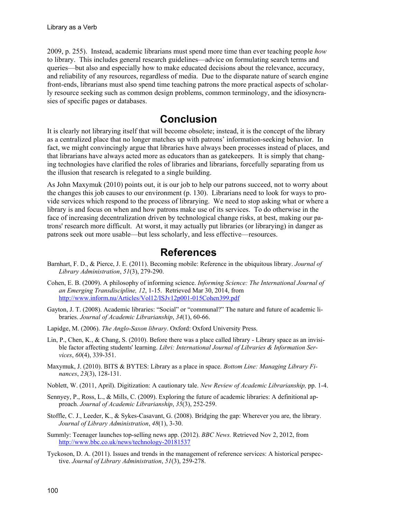2009, p. 255). Instead, academic librarians must spend more time than ever teaching people *how* to library. This includes general research guidelines—advice on formulating search terms and queries—but also and especially how to make educated decisions about the relevance, accuracy, and reliability of any resources, regardless of media. Due to the disparate nature of search engine front-ends, librarians must also spend time teaching patrons the more practical aspects of scholarly resource seeking such as common design problems, common terminology, and the idiosyncrasies of specific pages or databases.

### **Conclusion**

It is clearly not librarying itself that will become obsolete; instead, it is the concept of the library as a centralized place that no longer matches up with patrons' information-seeking behavior. In fact, we might convincingly argue that libraries have always been processes instead of places, and that librarians have always acted more as educators than as gatekeepers. It is simply that changing technologies have clarified the roles of libraries and librarians, forcefully separating from us the illusion that research is relegated to a single building.

As John Maxymuk (2010) points out, it is our job to help our patrons succeed, not to worry about the changes this job causes to our environment (p. 130). Librarians need to look for ways to provide services which respond to the process of librarying. We need to stop asking what or where a library is and focus on when and how patrons make use of its services. To do otherwise in the face of increasing decentralization driven by technological change risks, at best, making our patrons' research more difficult. At worst, it may actually put libraries (or librarying) in danger as patrons seek out more usable—but less scholarly, and less effective—resources.

### **References**

- Barnhart, F. D., & Pierce, J. E. (2011). Becoming mobile: Reference in the ubiquitous library. *Journal of Library Administration*, *51*(3), 279-290.
- Cohen, E. B. (2009). A philosophy of informing science. *Informing Science: The International Journal of an Emerging Transdiscipline, 12*, 1-15. Retrieved Mar 30, 2014, from <http://www.inform.nu/Articles/Vol12/ISJv12p001-015Cohen399.pdf>
- Gayton, J. T. (2008). Academic libraries: "Social" or "communal?" The nature and future of academic libraries. *Journal of Academic Librarianship*, *34*(1), 60-66.
- Lapidge, M. (2006). *The Anglo-Saxon library*. Oxford: Oxford University Press.
- Lin, P., Chen, K., & Chang, S. (2010). Before there was a place called library Library space as an invisible factor affecting students' learning. *Libri: International Journal of Libraries & Information Services*, *60*(4), 339-351.
- Maxymuk, J. (2010). BITS & BYTES: Library as a place in space. *Bottom Line: Managing Library Finances*, *23*(3), 128-131.
- Noblett, W. (2011, April). Digitization: A cautionary tale. *New Review of Academic Librarianship,* pp. 1-4.
- Sennyey, P., Ross, L., & Mills, C. (2009). Exploring the future of academic libraries: A definitional approach. *Journal of Academic Librarianship*, *35*(3), 252-259.
- Stoffle, C. J., Leeder, K., & Sykes-Casavant, G. (2008). Bridging the gap: Wherever you are, the library. *Journal of Library Administration*, *48*(1), 3-30.
- Summly: Teenager launches top-selling news app. (2012). *BBC News.* Retrieved Nov 2, 2012, from <http://www.bbc.co.uk/news/technology-20181537>
- Tyckoson, D. A. (2011). Issues and trends in the management of reference services: A historical perspective. *Journal of Library Administration*, *51*(3), 259-278.